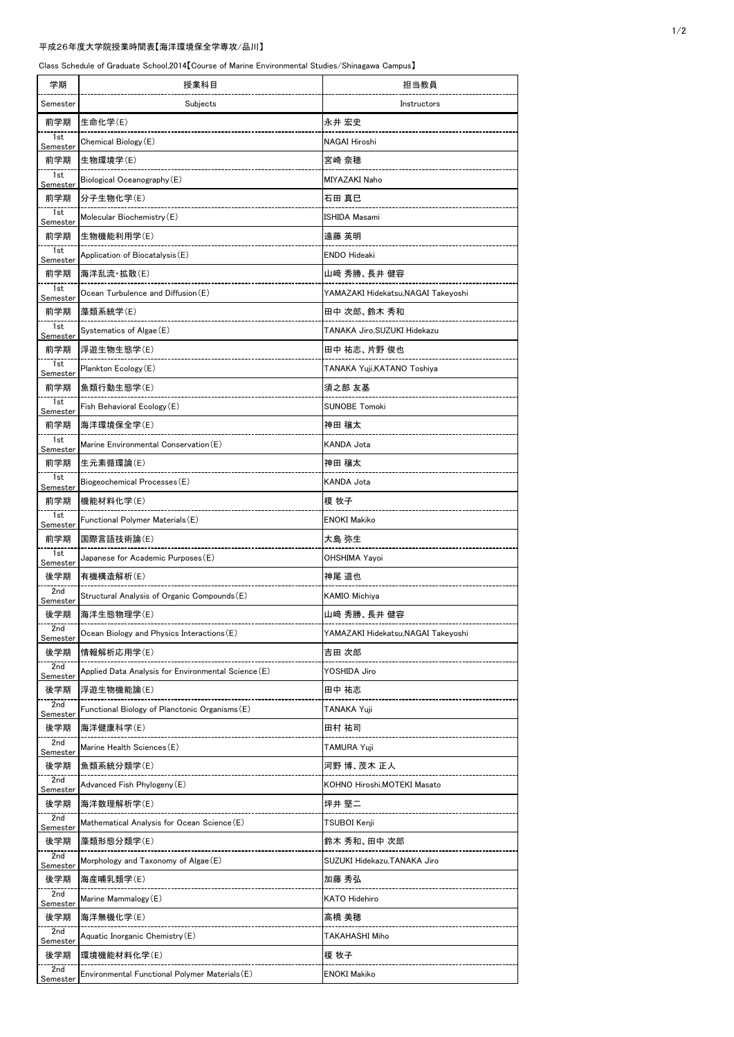## 平成26年度大学院授業時間表【海洋環境保全学専攻/品川】

Class Schedule of Graduate School,2014【Course of Marine Environmental Studies/Shinagawa Campus】

| 学期                          | 授業科目                                                | 担当教員                               |
|-----------------------------|-----------------------------------------------------|------------------------------------|
| Semester                    | Subjects                                            | Instructors                        |
| 前学期                         | 生命化学(E)                                             | 永井 宏史                              |
| 1st<br>Semester             | Chemical Biology (E)                                | NAGAI Hiroshi                      |
| 前学期                         | 生物環境学(E)                                            | 宮崎 奈穂                              |
| 1st<br>Semester             | Biological Oceanography (E)                         | MIYAZAKI Naho                      |
| 前学期                         | 分子生物化学(E)                                           | 石田 真巳                              |
| 1st<br>Semester             | Molecular Biochemistry (E)                          | <b>ISHIDA Masami</b>               |
| 前学期                         | 生物機能利用学(E)                                          | 遠藤 英明                              |
| 1st<br>Semester             | Application of Biocatalysis (E)                     | <b>ENDO Hideaki</b>                |
| 前学期                         | 海洋乱流·拡散(E)                                          | 山﨑 秀勝、長井 健容                        |
| 1st<br>Semester             | Ocean Turbulence and Diffusion (E)                  | YAMAZAKI Hidekatsu,NAGAI Takeyoshi |
| 前学期                         | 藻類系統学(E)                                            | 田中 次郎、鈴木 秀和                        |
| 1st<br>Semester             | Systematics of Algae (E)                            | TANAKA Jiro, SUZUKI Hidekazu       |
| 前学期                         | 浮遊生物生態学(E)                                          | 田中 祐志、片野 俊也                        |
| 1st<br>Semester             | Plankton Ecology (E)                                | TANAKA Yuji, KATANO Toshiya        |
| 前学期                         | 魚類行動生態学(E)                                          | 須之部 友基                             |
| 1st<br>Semester             | Fish Behavioral Ecology (E)                         | <b>SUNOBE Tomoki</b>               |
| 前学期                         | 海洋環境保全学(E)                                          | 神田 穣太                              |
| 1st<br>Semester             | Marine Environmental Conservation (E)               | <b>KANDA Jota</b>                  |
| 前学期                         | 生元素循環論(E)                                           | 神田 穣太                              |
| 1st<br>Semester             | Biogeochemical Processes (E)                        | <b>KANDA Jota</b>                  |
| 前学期                         | 機能材料化学(E)                                           | 榎 牧子                               |
| 1st<br>Semester             | Functional Polymer Materials (E)                    | <b>ENOKI Makiko</b>                |
| 前学期                         | 国際言語技術論(E)                                          | 大島 弥生                              |
| 1st<br>Semester             | Japanese for Academic Purposes(E)                   | OHSHIMA Yayoi                      |
| 後学期                         | 有機構造解析(E)                                           | 神尾 道也                              |
| 2 <sub>nd</sub><br>Semester | Structural Analysis of Organic Compounds (E)        | <b>KAMIO Michiya</b>               |
| 後学期                         | 海洋生態物理学(E)                                          | 山﨑 秀勝、長井 健容                        |
| 2 <sub>nd</sub><br>Semester | Ocean Biology and Physics Interactions (E)          | YAMAZAKI Hidekatsu,NAGAI Takeyoshi |
| 後学期                         | 情報解析応用学(E)                                          | 吉田 次郎                              |
| 2 <sub>nd</sub><br>Semester | Applied Data Analysis for Environmental Science (E) | YOSHIDA Jiro                       |
| 後学期                         | 浮遊生物機能論(E)                                          | 田中 祐志                              |
| 2 <sub>nd</sub><br>Semester | Functional Biology of Planctonic Organisms (E)      | TANAKA Yuji                        |
| 後学期                         | 海洋健康科学(E)                                           | 田村 祐司                              |
| 2 <sub>nd</sub><br>Semester | Marine Health Sciences (E)                          | TAMURA Yuji                        |
| 後学期                         | 魚類系統分類学(E)                                          | 河野 博、茂木 正人                         |
| 2 <sub>nd</sub><br>Semester | Advanced Fish Phylogeny (E)                         | KOHNO Hiroshi, MOTEKI Masato       |
| 後学期                         | 海洋数理解析学(E)                                          | 坪井 堅二                              |
| 2 <sub>nd</sub><br>Semester | Mathematical Analysis for Ocean Science (E)         | TSUBOI Kenji                       |
| 後学期                         | 藻類形態分類学(E)                                          | 鈴木 秀和、田中 次郎                        |
| 2nd<br><u>Semester</u>      | Morphology and Taxonomy of Algae (E)                | SUZUKI Hidekazu, TANAKA Jiro       |
| 後学期                         | 海産哺乳類学(E)                                           | 加藤 秀弘                              |
| 2nd<br>Semester             | Marine Mammalogy (E)                                | <b>KATO Hidehiro</b>               |
| 後学期                         | 海洋無機化学(E)                                           | 高橋 美穂                              |
| 2nd<br><b>Semester</b>      | Aquatic Inorganic Chemistry (E)                     | TAKAHASHI Miho                     |
| 後学期                         | 環境機能材料化学(E)                                         | 榎 牧子                               |
| 2nd<br><u>Semester</u>      | Environmental Functional Polymer Materials (E)      | <b>ENOKI Makiko</b>                |